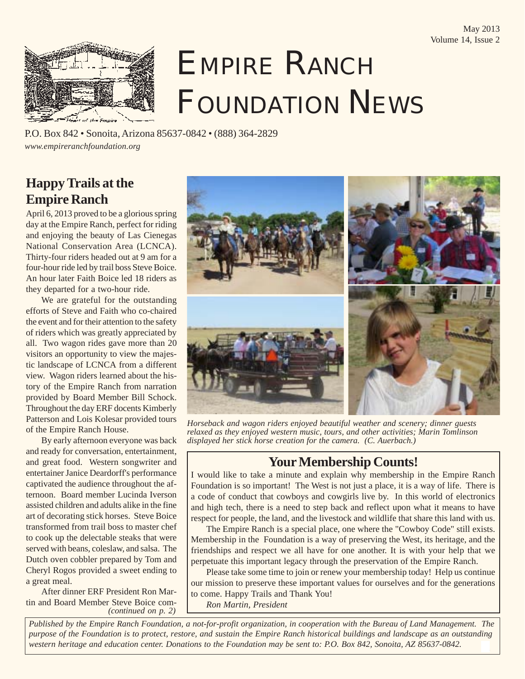

# EMPIRE RANCH FOUNDATION NEWS

P.O. Box 842 • Sonoita, Arizona 85637-0842 • (888) 364-2829 *www.empireranchfoundation.org*

## **Happy Trails at the Empire Ranch**

April 6, 2013 proved to be a glorious spring day at the Empire Ranch, perfect for riding and enjoying the beauty of Las Cienegas National Conservation Area (LCNCA). Thirty-four riders headed out at 9 am for a four-hour ride led by trail boss Steve Boice. An hour later Faith Boice led 18 riders as they departed for a two-hour ride.

We are grateful for the outstanding efforts of Steve and Faith who co-chaired the event and for their attention to the safety of riders which was greatly appreciated by all. Two wagon rides gave more than 20 visitors an opportunity to view the majestic landscape of LCNCA from a different view. Wagon riders learned about the history of the Empire Ranch from narration provided by Board Member Bill Schock. Throughout the day ERF docents Kimberly Patterson and Lois Kolesar provided tours of the Empire Ranch House.

By early afternoon everyone was back and ready for conversation, entertainment, and great food. Western songwriter and entertainer Janice Deardorff's performance captivated the audience throughout the afternoon. Board member Lucinda Iverson assisted children and adults alike in the fine art of decorating stick horses. Steve Boice transformed from trail boss to master chef to cook up the delectable steaks that were served with beans, coleslaw, and salsa. The Dutch oven cobbler prepared by Tom and Cheryl Rogos provided a sweet ending to a great meal.

After dinner ERF President Ron Martin and Board Member Steve Boice com- *(continued on p. 2)*



*Horseback and wagon riders enjoyed beautiful weather and scenery; dinner guests relaxed as they enjoyed western music, tours, and other activities; Marin Tomlinson displayed her stick horse creation for the camera. (C. Auerbach.)*

### **Your Membership Counts!**

I would like to take a minute and explain why membership in the Empire Ranch Foundation is so important! The West is not just a place, it is a way of life. There is a code of conduct that cowboys and cowgirls live by. In this world of electronics and high tech, there is a need to step back and reflect upon what it means to have respect for people, the land, and the livestock and wildlife that share this land with us.

The Empire Ranch is a special place, one where the "Cowboy Code" still exists. Membership in the Foundation is a way of preserving the West, its heritage, and the friendships and respect we all have for one another. It is with your help that we perpetuate this important legacy through the preservation of the Empire Ranch.

Please take some time to join or renew your membership today! Help us continue our mission to preserve these important values for ourselves and for the generations to come. Happy Trails and Thank You!

*Ron Martin, President*

*Published by the Empire Ranch Foundation, a not-for-profit organization, in cooperation with the Bureau of Land Management. The purpose of the Foundation is to protect, restore, and sustain the Empire Ranch historical buildings and landscape as an outstanding western heritage and education center. Donations to the Foundation may be sent to: P.O. Box 842, Sonoita, AZ 85637-0842.*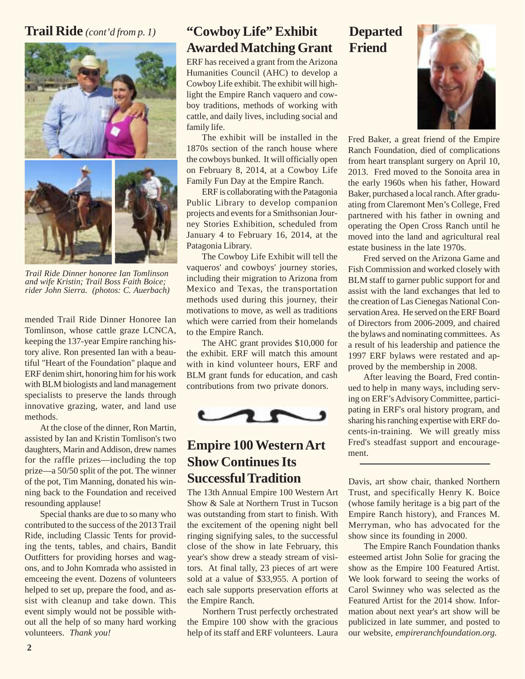#### **Trail Ride** *(cont'd from p. 1)*



*Trail Ride Dinner honoree Ian Tomlinson and wife Kristin; Trail Boss Faith Boice; rider John Sierra. (photos: C. Auerbach)*

mended Trail Ride Dinner Honoree Ian Tomlinson, whose cattle graze LCNCA, keeping the 137-year Empire ranching history alive. Ron presented Ian with a beautiful "Heart of the Foundation" plaque and ERF denim shirt, honoring him for his work with BLM biologists and land management specialists to preserve the lands through innovative grazing, water, and land use methods.

At the close of the dinner, Ron Martin, assisted by Ian and Kristin Tomlison's two daughters, Marin and Addison, drew names for the raffle prizes—including the top prize—a 50/50 split of the pot. The winner of the pot, Tim Manning, donated his winning back to the Foundation and received resounding applause!

Special thanks are due to so many who contributed to the success of the 2013 Trail Ride, including Classic Tents for providing the tents, tables, and chairs, Bandit Outfitters for providing horses and wagons, and to John Komrada who assisted in emceeing the event. Dozens of volunteers helped to set up, prepare the food, and assist with cleanup and take down. This event simply would not be possible without all the help of so many hard working volunteers. *Thank you!*

## **"Cowboy Life" Exhibit Awarded Matching Grant**

ERF has received a grant from the Arizona Humanities Council (AHC) to develop a Cowboy Life exhibit. The exhibit will highlight the Empire Ranch vaquero and cowboy traditions, methods of working with cattle, and daily lives, including social and family life.

The exhibit will be installed in the 1870s section of the ranch house where the cowboys bunked. It will officially open on February 8, 2014, at a Cowboy Life Family Fun Day at the Empire Ranch.

ERF is collaborating with the Patagonia Public Library to develop companion projects and events for a Smithsonian Journey Stories Exhibition, scheduled from January 4 to February 16, 2014, at the Patagonia Library.

The Cowboy Life Exhibit will tell the vaqueros' and cowboys' journey stories, including their migration to Arizona from Mexico and Texas, the transportation methods used during this journey, their motivations to move, as well as traditions which were carried from their homelands to the Empire Ranch.

The AHC grant provides \$10,000 for the exhibit. ERF will match this amount with in kind volunteer hours, ERF and BLM grant funds for education, and cash contributions from two private donors.



## **Empire 100 Western Art Show Continues Its Successful Tradition**

The 13th Annual Empire 100 Western Art Show & Sale at Northern Trust in Tucson was outstanding from start to finish. With the excitement of the opening night bell ringing signifying sales, to the successful close of the show in late February, this year's show drew a steady stream of visitors. At final tally, 23 pieces of art were sold at a value of \$33,955. A portion of each sale supports preservation efforts at the Empire Ranch.

Northern Trust perfectly orchestrated the Empire 100 show with the gracious help of its staff and ERF volunteers. Laura

#### **Departed Friend**



Fred Baker, a great friend of the Empire Ranch Foundation, died of complications from heart transplant surgery on April 10, 2013. Fred moved to the Sonoita area in the early 1960s when his father, Howard Baker, purchased a local ranch. After graduating from Claremont Men's College, Fred partnered with his father in owning and operating the Open Cross Ranch until he moved into the land and agricultural real estate business in the late 1970s.

Fred served on the Arizona Game and Fish Commission and worked closely with BLM staff to garner public support for and assist with the land exchanges that led to the creation of Las Cienegas National Conservation Area. He served on the ERF Board of Directors from 2006-2009, and chaired the bylaws and nominating committees. As a result of his leadership and patience the 1997 ERF bylaws were restated and approved by the membership in 2008.

After leaving the Board, Fred continued to help in many ways, including serving on ERF's Advisory Committee, participating in ERF's oral history program, and sharing his ranching expertise with ERF docents-in-training. We will greatly miss Fred's steadfast support and encouragement.

Davis, art show chair, thanked Northern Trust, and specifically Henry K. Boice (whose family heritage is a big part of the Empire Ranch history), and Frances M. Merryman, who has advocated for the show since its founding in 2000.

The Empire Ranch Foundation thanks esteemed artist John Solie for gracing the show as the Empire 100 Featured Artist. We look forward to seeing the works of Carol Swinney who was selected as the Featured Artist for the 2014 show. Information about next year's art show will be publicized in late summer, and posted to our website, *empireranchfoundation.org.*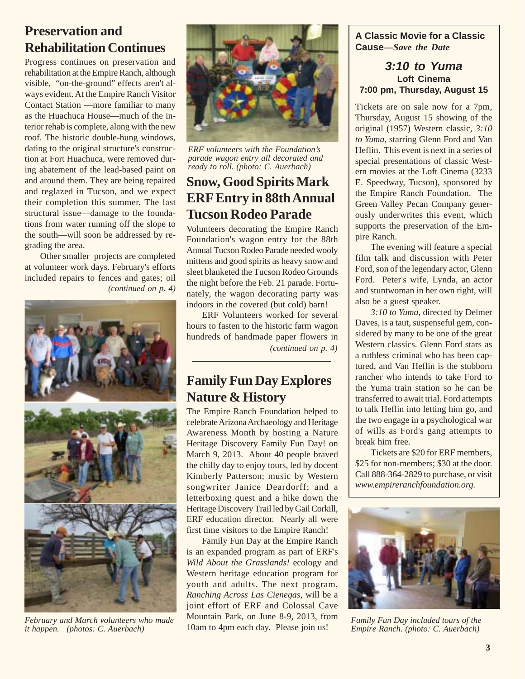## **Preservation and Rehabilitation Continues**

Progress continues on preservation and rehabilitation at the Empire Ranch, although visible, "on-the-ground" effects aren't always evident. At the Empire Ranch Visitor Contact Station —more familiar to many as the Huachuca House—much of the interior rehab is complete, along with the new roof. The historic double-hung windows, dating to the original structure's construction at Fort Huachuca, were removed during abatement of the lead-based paint on and around them. They are being repaired and reglazed in Tucson, and we expect their completion this summer. The last structural issue—damage to the foundations from water running off the slope to the south—will soon be addressed by regrading the area.

Other smaller projects are completed at volunteer work days. February's efforts included repairs to fences and gates; oil *(continued on p. 4)*



*February and March volunteers who made it happen. (photos: C. Auerbach)*



*ERF volunteers with the Foundation's parade wagon entry all decorated and ready to roll. (photo: C. Auerbach)*

## **Snow, Good Spirits Mark ERF Entry in 88th Annual Tucson Rodeo Parade**

Volunteers decorating the Empire Ranch Foundation's wagon entry for the 88th Annual Tucson Rodeo Parade needed wooly mittens and good spirits as heavy snow and sleet blanketed the Tucson Rodeo Grounds the night before the Feb. 21 parade. Fortunately, the wagon decorating party was indoors in the covered (but cold) barn!

ERF Volunteers worked for several hours to fasten to the historic farm wagon hundreds of handmade paper flowers in *(continued on p. 4)*

## **Family Fun Day Explores Nature & History**

The Empire Ranch Foundation helped to celebrate Arizona Archaeology and Heritage Awareness Month by hosting a Nature Heritage Discovery Family Fun Day! on March 9, 2013. About 40 people braved the chilly day to enjoy tours, led by docent Kimberly Patterson; music by Western songwriter Janice Deardorff; and a letterboxing quest and a hike down the Heritage Discovery Trail led by Gail Corkill, ERF education director. Nearly all were first time visitors to the Empire Ranch!

Family Fun Day at the Empire Ranch is an expanded program as part of ERF's *Wild About the Grasslands!* ecology and Western heritage education program for youth and adults. The next program, *Ranching Across Las Cienegas,* will be a joint effort of ERF and Colossal Cave Mountain Park, on June 8-9, 2013, from 10am to 4pm each day. Please join us!

#### **A Classic Movie for a Classic Cause—***Save the Date*

#### **3:10 to Yuma Loft Cinema 7:00 pm, Thursday, August 15**

Tickets are on sale now for a 7pm, Thursday, August 15 showing of the original (1957) Western classic, *3:10 to Yuma,* starring Glenn Ford and Van Heflin. This event is next in a series of special presentations of classic Western movies at the Loft Cinema (3233 E. Speedway, Tucson), sponsored by the Empire Ranch Foundation. The Green Valley Pecan Company generously underwrites this event, which supports the preservation of the Empire Ranch.

The evening will feature a special film talk and discussion with Peter Ford, son of the legendary actor, Glenn Ford. Peter's wife, Lynda, an actor and stuntwoman in her own right, will also be a guest speaker.

*3:10 to Yuma,* directed by Delmer Daves, is a taut, suspenseful gem, considered by many to be one of the great Western classics. Glenn Ford stars as a ruthless criminal who has been captured, and Van Heflin is the stubborn rancher who intends to take Ford to the Yuma train station so he can be transferred to await trial. Ford attempts to talk Heflin into letting him go, and the two engage in a psychological war of wills as Ford's gang attempts to break him free.

Tickets are \$20 for ERF members, \$25 for non-members; \$30 at the door. Call 888-364-2829 to purchase, or visit *www.empireranchfoundation.org.*



*Family Fun Day included tours of the Empire Ranch. (photo: C. Auerbach)*